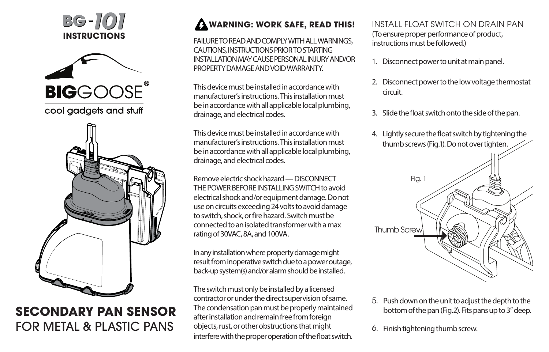





## **SECONDARY PAN SENSOR** FOR METAL & PLASTIC PANS

## **WARNING: WORK SAFE, READ THIS!**

FAILURE TO READ AND COMPLY WITH ALL WARNINGS, CAUTIONS, INSTRUCTIONS PRIOR TO STARTING INSTALLATION MAY CAUSE PERSONAL INJURY AND/OR PROPERTY DAMAGE AND VOID WARRANTY.

This device must be installed in accordance with manufacturer's instructions. This installation must be in accordance with all applicable local plumbing, drainage, and electrical codes.

This device must be installed in accordance with manufacturer's instructions. This installation must be in accordance with all applicable local plumbing, drainage, and electrical codes.

Remove electric shock hazard — DISCONNECT THE POWER REFORE INSTALLING SWITCH to avoid electrical shock and/or equipment damage. Do not use on circuits exceeding 24 volts to avoid damage to switch, shock, or fire hazard. Switch must be connected to an isolated transformer with a max rating of 30VAC, 8A, and 100VA.

In any installation where property damage might result from inoperative switch due to a power outage, back-up system(s) and/or alarm should be installed.

The switch must only be installed by a licensed contractor or under the direct supervision of same. The condensation pan must be properly maintained after installation and remain free from foreign objects, rust, or other obstructions that might interfere with the proper operation of the float switch. INSTALL FLOAT SWITCH ON DRAIN PAN (To ensure proper performance of product, instructions must be followed.)

- 1. Disconnect power to unit at main panel.
- 2. Disconnect power to the low voltage thermostat circuit.
- 3. Slide the float switch onto the side of the pan.



- 5. Push down on the unit to adjust the depth to the bottom of the pan (Fig.2). Fits pans up to 3" deep.
- Finish tightening thumb screw. 6.